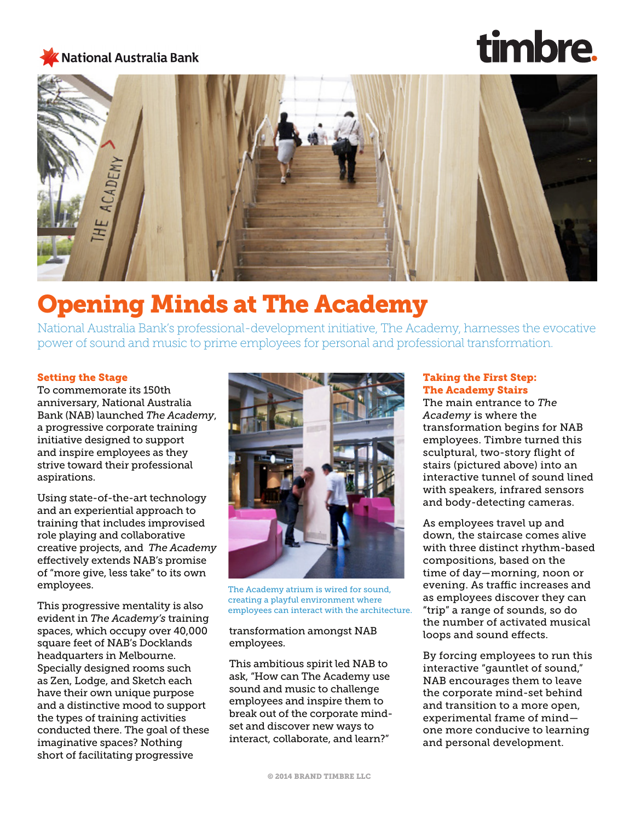### **National Australia Bank**

# timbre.



## Opening Minds at The Academy

National Australia Bank's professional-development initiative, The Academy, harnesses the evocative power of sound and music to prime employees for personal and professional transformation.

#### Setting the Stage

To commemorate its 150th anniversary, National Australia Bank (NAB) launched *The Academy*, a progressive corporate training initiative designed to support and inspire employees as they strive toward their professional aspirations.

Using state-of-the-art technology and an experiential approach to training that includes improvised role playing and collaborative creative projects, and *The Academy* effectively extends NAB's promise of "more give, less take" to its own employees.

This progressive mentality is also evident in *The Academy's* training spaces, which occupy over 40,000 square feet of NAB's Docklands headquarters in Melbourne. Specially designed rooms such as Zen, Lodge, and Sketch each have their own unique purpose and a distinctive mood to support the types of training activities conducted there. The goal of these imaginative spaces? Nothing short of facilitating progressive



The Academy atrium is wired for sound, creating a playful environment where employees can interact with the architecture.

#### transformation amongst NAB employees.

This ambitious spirit led NAB to ask, "How can The Academy use sound and music to challenge employees and inspire them to break out of the corporate mindset and discover new ways to interact, collaborate, and learn?"

#### Taking the First Step: The Academy Stairs

The main entrance to *The Academy* is where the transformation begins for NAB employees. Timbre turned this sculptural, two-story flight of stairs (pictured above) into an interactive tunnel of sound lined with speakers, infrared sensors and body-detecting cameras.

As employees travel up and down, the staircase comes alive with three distinct rhythm-based compositions, based on the time of day—morning, noon or evening. As traffic increases and as employees discover they can "trip" a range of sounds, so do the number of activated musical loops and sound effects.

By forcing employees to run this interactive "gauntlet of sound," NAB encourages them to leave the corporate mind-set behind and transition to a more open, experimental frame of mind one more conducive to learning and personal development.